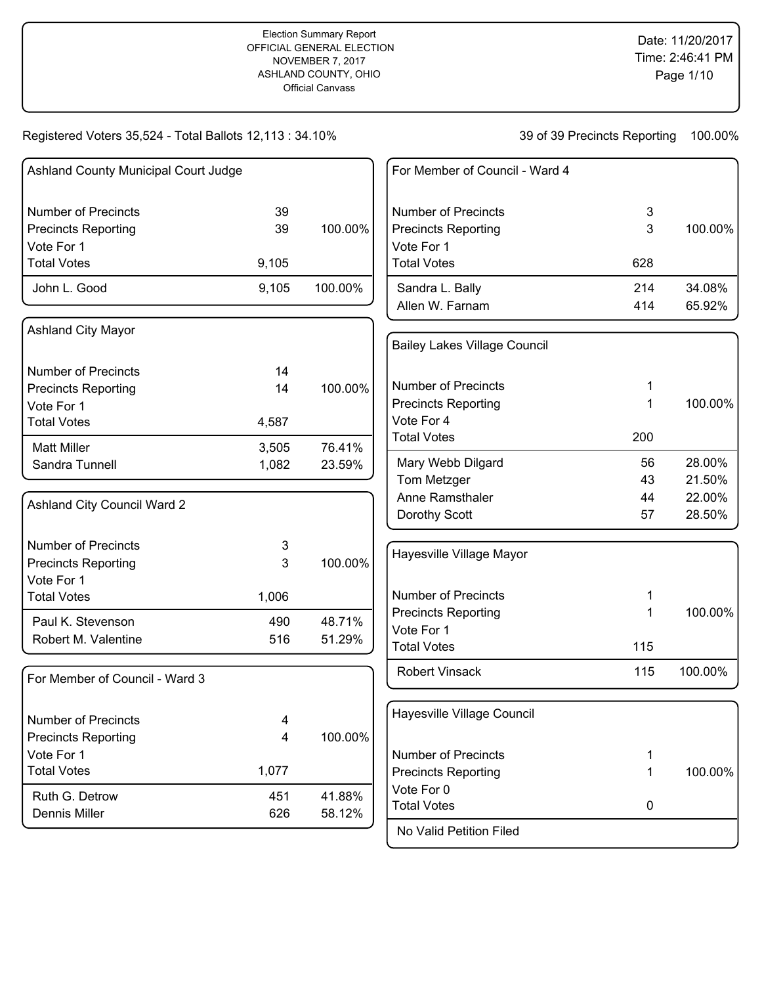Registered Voters 35,524 - Total Ballots 12,113 : 34.10%

| Ashland County Municipal Court Judge     |                |         | For Member of Council - Ward 4      |             |         |
|------------------------------------------|----------------|---------|-------------------------------------|-------------|---------|
| <b>Number of Precincts</b>               | 39             |         | <b>Number of Precincts</b>          | 3           |         |
| <b>Precincts Reporting</b>               | 39             | 100.00% | <b>Precincts Reporting</b>          | 3           | 100.00% |
| Vote For 1                               |                |         | Vote For 1                          |             |         |
| <b>Total Votes</b>                       | 9,105          |         | <b>Total Votes</b>                  | 628         |         |
| John L. Good                             | 9,105          | 100.00% | Sandra L. Bally                     | 214         | 34.08%  |
|                                          |                |         | Allen W. Farnam                     | 414         | 65.92%  |
| <b>Ashland City Mayor</b>                |                |         |                                     |             |         |
|                                          |                |         | <b>Bailey Lakes Village Council</b> |             |         |
| <b>Number of Precincts</b>               | 14             |         |                                     |             |         |
| <b>Precincts Reporting</b>               | 14             | 100.00% | <b>Number of Precincts</b>          |             |         |
| Vote For 1                               |                |         | <b>Precincts Reporting</b>          | 1           | 100.00% |
| <b>Total Votes</b>                       | 4,587          |         | Vote For 4                          |             |         |
| <b>Matt Miller</b>                       |                | 76.41%  | <b>Total Votes</b>                  | 200         |         |
| Sandra Tunnell                           | 3,505<br>1,082 | 23.59%  | Mary Webb Dilgard                   | 56          | 28.00%  |
|                                          |                |         | Tom Metzger                         | 43          | 21.50%  |
|                                          |                |         | Anne Ramsthaler                     | 44          | 22.00%  |
| Ashland City Council Ward 2              |                |         | Dorothy Scott                       | 57          | 28.50%  |
| <b>Number of Precincts</b>               | 3              |         |                                     |             |         |
| <b>Precincts Reporting</b>               | 3              | 100.00% | Hayesville Village Mayor            |             |         |
| Vote For 1                               |                |         |                                     |             |         |
| <b>Total Votes</b>                       | 1,006          |         | <b>Number of Precincts</b>          |             |         |
| Paul K. Stevenson                        | 490            | 48.71%  | <b>Precincts Reporting</b>          | 1           | 100.00% |
| Robert M. Valentine                      | 516            | 51.29%  | Vote For 1                          |             |         |
|                                          |                |         | <b>Total Votes</b>                  | 115         |         |
| For Member of Council - Ward 3           |                |         | <b>Robert Vinsack</b>               | 115         | 100.00% |
|                                          |                |         | Hayesville Village Council          |             |         |
| <b>Number of Precincts</b>               | 4              |         |                                     |             |         |
| <b>Precincts Reporting</b><br>Vote For 1 | 4              | 100.00% | <b>Number of Precincts</b>          | 1           |         |
| <b>Total Votes</b>                       | 1,077          |         | <b>Precincts Reporting</b>          | 1           | 100.00% |
|                                          |                |         | Vote For 0                          |             |         |
| Ruth G. Detrow                           | 451            | 41.88%  | <b>Total Votes</b>                  | $\mathbf 0$ |         |
| Dennis Miller                            | 626            | 58.12%  |                                     |             |         |
|                                          |                |         | No Valid Petition Filed             |             |         |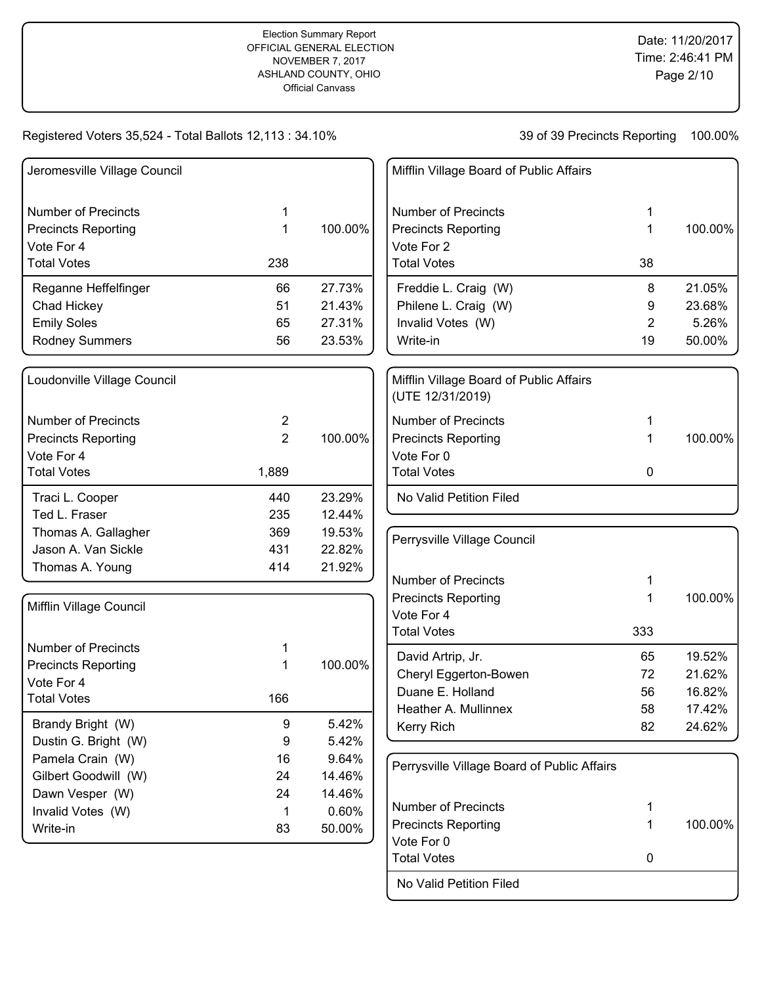## Registered Voters 35,524 - Total Ballots 12,113 : 34.10%

## 39 of 39 Precincts Reporting 100.00%

| Jeromesville Village Council |                   |                 | Mifflin Village Board of Public Affairs                     |     |         |
|------------------------------|-------------------|-----------------|-------------------------------------------------------------|-----|---------|
| <b>Number of Precincts</b>   | 1                 |                 | <b>Number of Precincts</b>                                  | 1   |         |
| <b>Precincts Reporting</b>   | 1                 | 100.00%         | <b>Precincts Reporting</b>                                  | 1   | 100.00% |
| Vote For 4                   |                   |                 | Vote For 2                                                  |     |         |
| <b>Total Votes</b>           | 238               |                 | <b>Total Votes</b>                                          | 38  |         |
| Reganne Heffelfinger         | 66                | 27.73%          | Freddie L. Craig (W)                                        | 8   | 21.05%  |
| Chad Hickey                  | 51                | 21.43%          | Philene L. Craig (W)                                        | 9   | 23.68%  |
| <b>Emily Soles</b>           | 65                | 27.31%          | Invalid Votes (W)                                           | 2   | 5.26%   |
| <b>Rodney Summers</b>        | 56                | 23.53%          | Write-in                                                    | 19  | 50.00%  |
| Loudonville Village Council  |                   |                 | Mifflin Village Board of Public Affairs<br>(UTE 12/31/2019) |     |         |
| <b>Number of Precincts</b>   | 2                 |                 | <b>Number of Precincts</b>                                  | 1   |         |
| <b>Precincts Reporting</b>   | $\overline{2}$    | 100.00%         | <b>Precincts Reporting</b>                                  | 1   | 100.00% |
| Vote For 4                   |                   |                 | Vote For 0                                                  |     |         |
| <b>Total Votes</b>           | 1,889             |                 | <b>Total Votes</b>                                          | 0   |         |
| Traci L. Cooper              | 440               | 23.29%          | No Valid Petition Filed                                     |     |         |
| Ted L. Fraser                | 235               | 12.44%          |                                                             |     |         |
| Thomas A. Gallagher          | 369               | 19.53%          | Perrysville Village Council                                 |     |         |
| Jason A. Van Sickle          | 431               | 22.82%          |                                                             |     |         |
| Thomas A. Young              | 414               | 21.92%          |                                                             |     |         |
|                              |                   |                 | <b>Number of Precincts</b>                                  | 1   |         |
| Mifflin Village Council      |                   |                 | <b>Precincts Reporting</b><br>Vote For 4                    | 1   | 100.00% |
|                              |                   |                 | <b>Total Votes</b>                                          | 333 |         |
| <b>Number of Precincts</b>   | 1                 |                 |                                                             |     |         |
| <b>Precincts Reporting</b>   | 1                 | 100.00%         | David Artrip, Jr.                                           | 65  | 19.52%  |
| Vote For 4                   |                   |                 | Cheryl Eggerton-Bowen                                       | 72  | 21.62%  |
| <b>Total Votes</b>           | 166               |                 | Duane E. Holland                                            | 56  | 16.82%  |
|                              |                   |                 | Heather A. Mullinnex                                        | 58  | 17.42%  |
| Brandy Bright (W)            | 9                 | 5.42%           | Kerry Rich                                                  | 82  | 24.62%  |
| Dustin G. Bright (W)         | 9                 | 5.42%           |                                                             |     |         |
| Pamela Crain (W)             | 16                | 9.64%           | Perrysville Village Board of Public Affairs                 |     |         |
| Gilbert Goodwill (W)         | 24                | 14.46%          |                                                             |     |         |
| Dawn Vesper (W)              | 24<br>$\mathbf 1$ | 14.46%<br>0.60% | <b>Number of Precincts</b>                                  | 1   |         |
| Invalid Votes (W)            |                   |                 | <b>Precincts Reporting</b>                                  | 1   | 100.00% |
| Write-in                     | 83                | 50.00%          | Vote For 0                                                  |     |         |
|                              |                   |                 | <b>Total Votes</b>                                          | 0   |         |

No Valid Petition Filed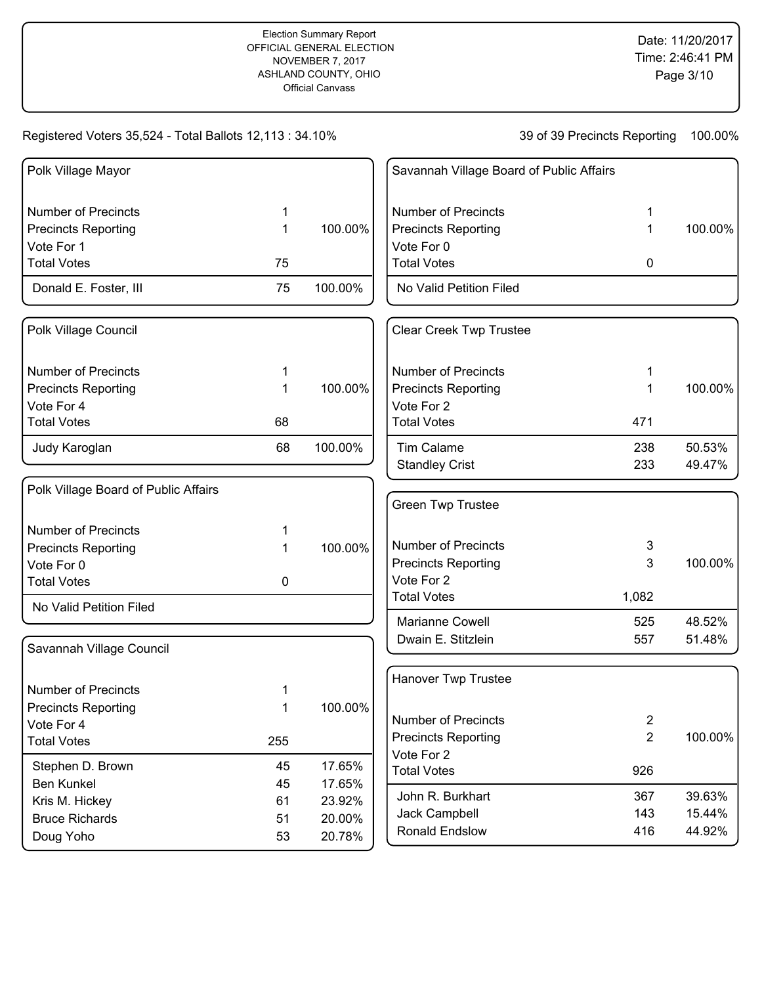### Registered Voters 35,524 - Total Ballots 12,113 : 34.10%

| Polk Village Mayor                   |     |         | Savannah Village Board of Public Affairs |                |         |
|--------------------------------------|-----|---------|------------------------------------------|----------------|---------|
| <b>Number of Precincts</b>           | 1   |         | <b>Number of Precincts</b>               | 1              |         |
| <b>Precincts Reporting</b>           | 1   | 100.00% | <b>Precincts Reporting</b>               | 1              | 100.00% |
| Vote For 1                           |     |         | Vote For 0                               |                |         |
| <b>Total Votes</b>                   | 75  |         | <b>Total Votes</b>                       | 0              |         |
| Donald E. Foster, III                | 75  | 100.00% | No Valid Petition Filed                  |                |         |
| Polk Village Council                 |     |         | <b>Clear Creek Twp Trustee</b>           |                |         |
| <b>Number of Precincts</b>           | 1   |         | <b>Number of Precincts</b>               |                |         |
| <b>Precincts Reporting</b>           | 1   | 100.00% | <b>Precincts Reporting</b>               | 1              | 100.00% |
| Vote For 4                           |     |         | Vote For 2                               |                |         |
| <b>Total Votes</b>                   | 68  |         | <b>Total Votes</b>                       | 471            |         |
| Judy Karoglan                        | 68  | 100.00% | <b>Tim Calame</b>                        | 238            | 50.53%  |
|                                      |     |         | <b>Standley Crist</b>                    | 233            | 49.47%  |
| Polk Village Board of Public Affairs |     |         |                                          |                |         |
|                                      |     |         | <b>Green Twp Trustee</b>                 |                |         |
| <b>Number of Precincts</b>           | 1   |         |                                          |                |         |
| <b>Precincts Reporting</b>           | 1   | 100.00% | <b>Number of Precincts</b>               | 3              |         |
| Vote For 0                           |     |         | <b>Precincts Reporting</b>               | 3              | 100.00% |
| <b>Total Votes</b>                   | 0   |         | Vote For 2                               |                |         |
| No Valid Petition Filed              |     |         | <b>Total Votes</b>                       | 1,082          |         |
|                                      |     |         | Marianne Cowell                          | 525            | 48.52%  |
| Savannah Village Council             |     |         | Dwain E. Stitzlein                       | 557            | 51.48%  |
|                                      |     |         |                                          |                |         |
| <b>Number of Precincts</b>           |     |         | Hanover Twp Trustee                      |                |         |
| <b>Precincts Reporting</b>           | 1   | 100.00% |                                          |                |         |
| Vote For 4                           |     |         | <b>Number of Precincts</b>               | $\overline{2}$ |         |
| <b>Total Votes</b>                   | 255 |         | <b>Precincts Reporting</b>               | $\overline{2}$ | 100.00% |
| Stephen D. Brown                     | 45  | 17.65%  | Vote For 2                               |                |         |
| <b>Ben Kunkel</b>                    | 45  | 17.65%  | <b>Total Votes</b>                       | 926            |         |
| Kris M. Hickey                       | 61  | 23.92%  | John R. Burkhart                         | 367            | 39.63%  |
| <b>Bruce Richards</b>                | 51  | 20.00%  | Jack Campbell                            | 143            | 15.44%  |
| Doug Yoho                            | 53  | 20.78%  | Ronald Endslow                           | 416            | 44.92%  |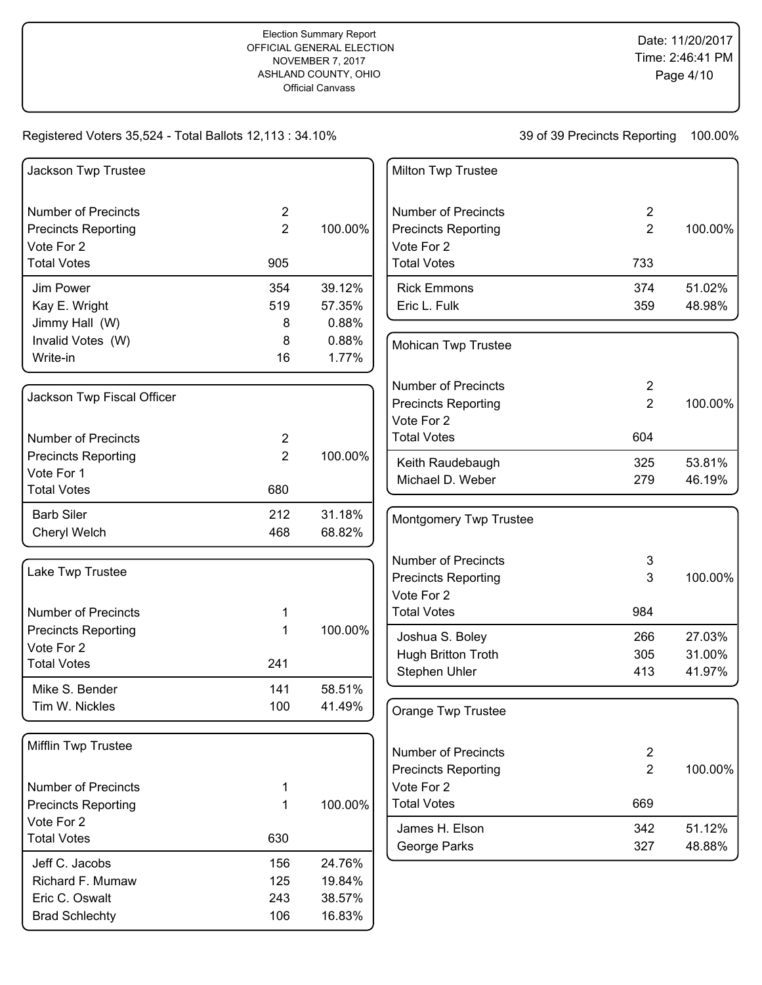## Registered Voters 35,524 - Total Ballots 12,113 : 34.10%

| Jackson Twp Trustee        |                |         | Milton Twp Trustee         |                |         |
|----------------------------|----------------|---------|----------------------------|----------------|---------|
| <b>Number of Precincts</b> | $\overline{2}$ |         | <b>Number of Precincts</b> | $\overline{2}$ |         |
| <b>Precincts Reporting</b> | $\overline{2}$ | 100.00% | <b>Precincts Reporting</b> | $\overline{2}$ | 100.00% |
| Vote For 2                 |                |         | Vote For 2                 |                |         |
| <b>Total Votes</b>         | 905            |         | <b>Total Votes</b>         | 733            |         |
| Jim Power                  | 354            | 39.12%  | <b>Rick Emmons</b>         | 374            | 51.02%  |
| Kay E. Wright              | 519            | 57.35%  | Eric L. Fulk               | 359            | 48.98%  |
| Jimmy Hall (W)             | 8              | 0.88%   |                            |                |         |
| Invalid Votes (W)          | 8              | 0.88%   | Mohican Twp Trustee        |                |         |
| Write-in                   | 16             | 1.77%   |                            |                |         |
|                            |                |         | <b>Number of Precincts</b> | $\overline{2}$ |         |
| Jackson Twp Fiscal Officer |                |         | <b>Precincts Reporting</b> | $\overline{2}$ | 100.00% |
|                            |                |         | Vote For 2                 |                |         |
| <b>Number of Precincts</b> | $\overline{2}$ |         | <b>Total Votes</b>         | 604            |         |
| <b>Precincts Reporting</b> | $\overline{2}$ | 100.00% | Keith Raudebaugh           | 325            | 53.81%  |
| Vote For 1                 |                |         | Michael D. Weber           | 279            | 46.19%  |
| <b>Total Votes</b>         | 680            |         |                            |                |         |
| <b>Barb Siler</b>          | 212            | 31.18%  | Montgomery Twp Trustee     |                |         |
| Cheryl Welch               | 468            | 68.82%  |                            |                |         |
|                            |                |         | <b>Number of Precincts</b> | 3              |         |
| Lake Twp Trustee           |                |         | <b>Precincts Reporting</b> | 3              | 100.00% |
|                            |                |         | Vote For 2                 |                |         |
| <b>Number of Precincts</b> | 1              |         | <b>Total Votes</b>         | 984            |         |
| <b>Precincts Reporting</b> | 1              | 100.00% | Joshua S. Boley            | 266            | 27.03%  |
| Vote For 2                 |                |         | Hugh Britton Troth         | 305            | 31.00%  |
| <b>Total Votes</b>         | 241            |         | Stephen Uhler              | 413            | 41.97%  |
| Mike S. Bender             | 141            | 58.51%  |                            |                |         |
| Tim W. Nickles             | 100            | 41.49%  | Orange Twp Trustee         |                |         |
|                            |                |         |                            |                |         |
| Mifflin Twp Trustee        |                |         | <b>Number of Precincts</b> | $\overline{2}$ |         |
|                            |                |         | <b>Precincts Reporting</b> | $\overline{2}$ | 100.00% |
| <b>Number of Precincts</b> | 1              |         | Vote For 2                 |                |         |
| <b>Precincts Reporting</b> | $\mathbf{1}$   | 100.00% | <b>Total Votes</b>         | 669            |         |
| Vote For 2                 |                |         |                            |                | 51.12%  |
| <b>Total Votes</b>         | 630            |         | James H. Elson             | 342<br>327     | 48.88%  |
| Jeff C. Jacobs             | 156            | 24.76%  | George Parks               |                |         |
| Richard F. Mumaw           | 125            | 19.84%  |                            |                |         |
| Eric C. Oswalt             | 243            | 38.57%  |                            |                |         |
| <b>Brad Schlechty</b>      | 106            | 16.83%  |                            |                |         |
|                            |                |         |                            |                |         |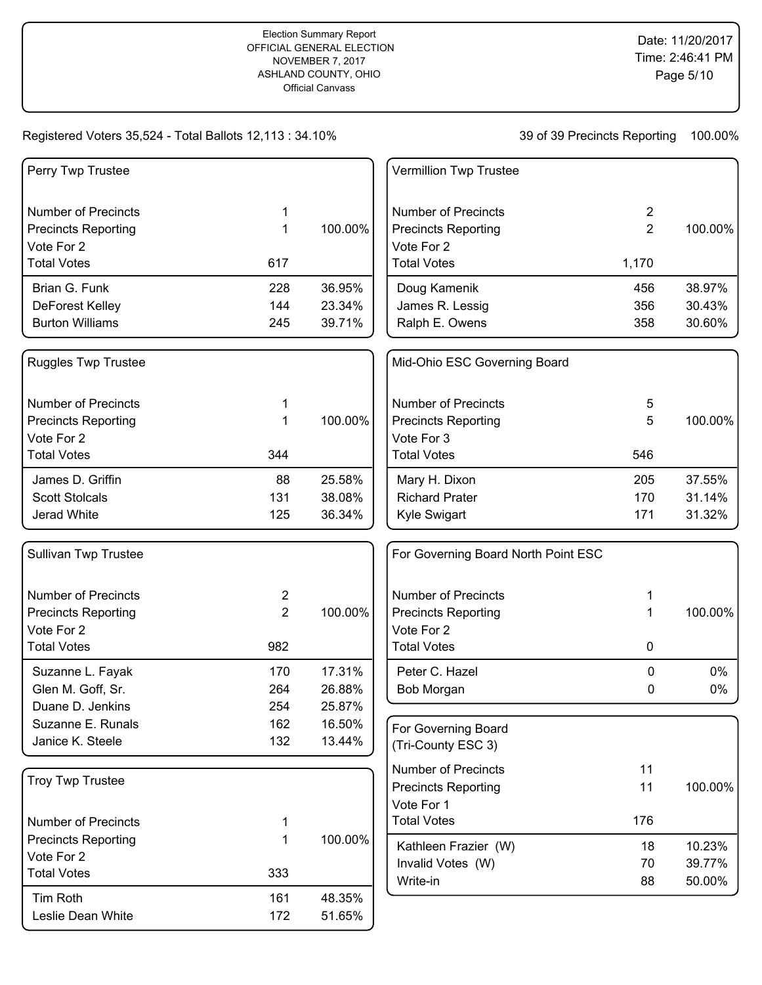## Registered Voters 35,524 - Total Ballots 12,113 : 34.10%

| Perry Twp Trustee                |                |         | Vermillion Twp Trustee              |                |         |
|----------------------------------|----------------|---------|-------------------------------------|----------------|---------|
| <b>Number of Precincts</b>       | 1              |         | <b>Number of Precincts</b>          | $\overline{2}$ |         |
| <b>Precincts Reporting</b>       | $\mathbf 1$    | 100.00% | <b>Precincts Reporting</b>          | $\overline{2}$ | 100.00% |
| Vote For 2                       |                |         | Vote For 2                          |                |         |
| <b>Total Votes</b>               | 617            |         | <b>Total Votes</b>                  | 1,170          |         |
| Brian G. Funk                    | 228            | 36.95%  | Doug Kamenik                        | 456            | 38.97%  |
| DeForest Kelley                  | 144            | 23.34%  | James R. Lessig                     | 356            | 30.43%  |
| <b>Burton Williams</b>           | 245            | 39.71%  | Ralph E. Owens                      | 358            | 30.60%  |
| <b>Ruggles Twp Trustee</b>       |                |         | Mid-Ohio ESC Governing Board        |                |         |
| <b>Number of Precincts</b>       | 1              |         | <b>Number of Precincts</b>          | 5              |         |
| <b>Precincts Reporting</b>       | 1              | 100.00% | <b>Precincts Reporting</b>          | 5              | 100.00% |
| Vote For 2                       |                |         | Vote For 3                          |                |         |
| <b>Total Votes</b>               | 344            |         | <b>Total Votes</b>                  | 546            |         |
| James D. Griffin                 | 88             | 25.58%  | Mary H. Dixon                       | 205            | 37.55%  |
| <b>Scott Stolcals</b>            | 131            | 38.08%  | <b>Richard Prater</b>               | 170            | 31.14%  |
| Jerad White                      | 125            | 36.34%  | Kyle Swigart                        | 171            | 31.32%  |
| <b>Sullivan Twp Trustee</b>      |                |         | For Governing Board North Point ESC |                |         |
| <b>Number of Precincts</b>       | $\overline{c}$ |         | <b>Number of Precincts</b>          | 1              |         |
| <b>Precincts Reporting</b>       | $\overline{2}$ | 100.00% | <b>Precincts Reporting</b>          | 1              | 100.00% |
| Vote For 2                       |                |         | Vote For 2                          |                |         |
| <b>Total Votes</b>               | 982            |         | <b>Total Votes</b>                  | 0              |         |
| Suzanne L. Fayak                 | 170            | 17.31%  | Peter C. Hazel                      | $\mathbf 0$    | 0%      |
| Glen M. Goff, Sr.                | 264            | 26.88%  | Bob Morgan                          | 0              | 0%      |
| Duane D. Jenkins                 | 254            | 25.87%  |                                     |                |         |
| Suzanne E. Runals                | 162            | 16.50%  | For Governing Board                 |                |         |
| Janice K. Steele                 | 132            | 13.44%  | (Tri-County ESC 3)                  |                |         |
|                                  |                |         | <b>Number of Precincts</b>          | 11             |         |
| <b>Troy Twp Trustee</b>          |                |         | <b>Precincts Reporting</b>          | 11             | 100.00% |
|                                  |                |         | Vote For 1                          |                |         |
| <b>Number of Precincts</b>       | 1              |         | <b>Total Votes</b>                  | 176            |         |
| <b>Precincts Reporting</b>       | 1              | 100.00% | Kathleen Frazier (W)                | 18             | 10.23%  |
| Vote For 2<br><b>Total Votes</b> | 333            |         | Invalid Votes (W)                   | 70             | 39.77%  |
|                                  |                |         | Write-in                            | 88             | 50.00%  |
| Tim Roth                         | 161            | 48.35%  |                                     |                |         |
| Leslie Dean White                | 172            | 51.65%  |                                     |                |         |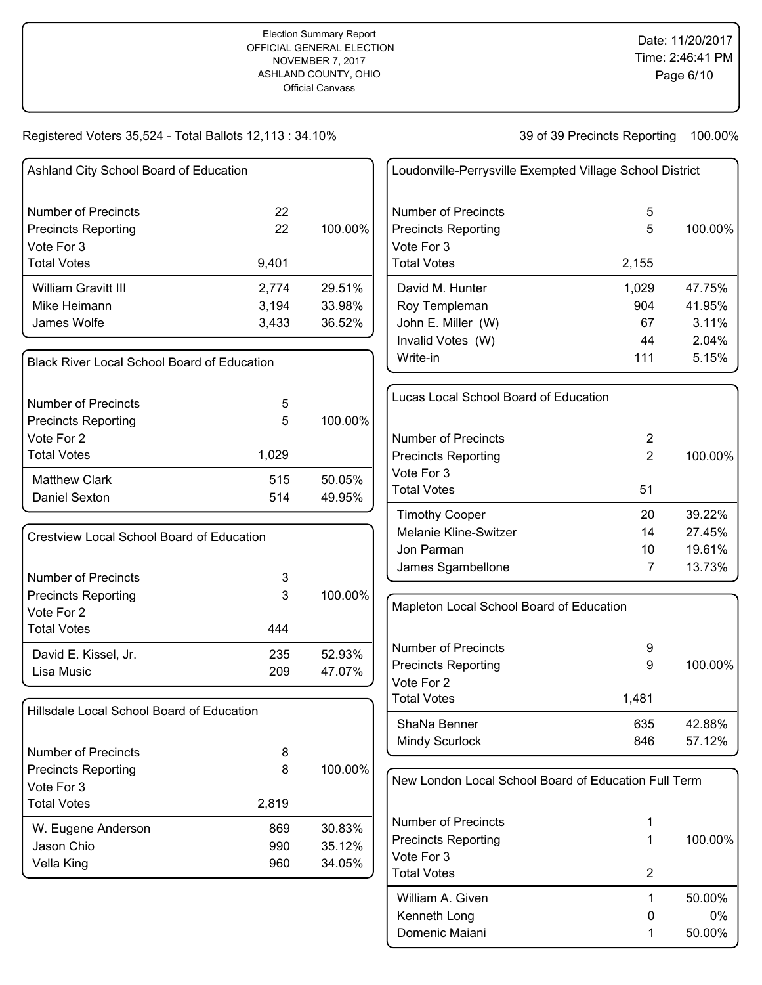# Registered Voters 35,524 - Total Ballots 12,113 : 34.10%

| Ashland City School Board of Education                   |          |         | Loudonville-Perrysville Exempted Village School District |                |         |
|----------------------------------------------------------|----------|---------|----------------------------------------------------------|----------------|---------|
| <b>Number of Precincts</b><br><b>Precincts Reporting</b> | 22<br>22 | 100.00% | <b>Number of Precincts</b><br><b>Precincts Reporting</b> | 5<br>5         | 100.00% |
| Vote For 3                                               |          |         | Vote For 3                                               |                |         |
| <b>Total Votes</b>                                       | 9,401    |         | <b>Total Votes</b>                                       | 2,155          |         |
| William Gravitt III                                      | 2,774    | 29.51%  | David M. Hunter                                          | 1,029          | 47.75%  |
| Mike Heimann                                             | 3,194    | 33.98%  | Roy Templeman                                            | 904            | 41.95%  |
| James Wolfe                                              | 3,433    | 36.52%  | John E. Miller (W)                                       | 67             | 3.11%   |
|                                                          |          |         | Invalid Votes (W)                                        | 44             | 2.04%   |
| <b>Black River Local School Board of Education</b>       |          |         | Write-in                                                 | 111            | 5.15%   |
| <b>Number of Precincts</b>                               | 5        |         | Lucas Local School Board of Education                    |                |         |
| <b>Precincts Reporting</b>                               | 5        | 100.00% |                                                          |                |         |
| Vote For 2                                               |          |         | <b>Number of Precincts</b>                               | 2              |         |
| <b>Total Votes</b>                                       | 1,029    |         | <b>Precincts Reporting</b>                               | $\overline{2}$ | 100.00% |
| <b>Matthew Clark</b>                                     | 515      | 50.05%  | Vote For 3                                               |                |         |
| <b>Daniel Sexton</b>                                     | 514      | 49.95%  | <b>Total Votes</b>                                       | 51             |         |
|                                                          |          |         | <b>Timothy Cooper</b>                                    | 20             | 39.22%  |
| Crestview Local School Board of Education                |          |         | Melanie Kline-Switzer                                    | 14             | 27.45%  |
|                                                          |          |         | Jon Parman                                               | 10             | 19.61%  |
|                                                          |          |         | James Sgambellone                                        | $\overline{7}$ | 13.73%  |
| <b>Number of Precincts</b><br><b>Precincts Reporting</b> | 3<br>3   | 100.00% |                                                          |                |         |
| Vote For 2                                               |          |         | Mapleton Local School Board of Education                 |                |         |
| <b>Total Votes</b>                                       | 444      |         |                                                          |                |         |
| David E. Kissel, Jr.                                     | 235      | 52.93%  | <b>Number of Precincts</b>                               | 9              |         |
| Lisa Music                                               | 209      | 47.07%  | <b>Precincts Reporting</b>                               | 9              | 100.00% |
|                                                          |          |         | Vote For 2                                               |                |         |
| Hillsdale Local School Board of Education                |          |         | <b>Total Votes</b>                                       | 1,481          |         |
|                                                          |          |         | ShaNa Benner                                             | 635            | 42.88%  |
|                                                          |          |         | Mindy Scurlock                                           | 846            | 57.12%  |
| <b>Number of Precincts</b>                               | 8        |         |                                                          |                |         |
| <b>Precincts Reporting</b>                               | 8        | 100.00% | New London Local School Board of Education Full Term     |                |         |
| Vote For 3<br><b>Total Votes</b>                         | 2,819    |         |                                                          |                |         |
|                                                          |          |         | <b>Number of Precincts</b>                               | 1              |         |
| W. Eugene Anderson                                       | 869      | 30.83%  | <b>Precincts Reporting</b>                               | 1              | 100.00% |
| Jason Chio                                               | 990      | 35.12%  | Vote For 3                                               |                |         |
| Vella King                                               | 960      | 34.05%  | <b>Total Votes</b>                                       | $\overline{2}$ |         |
|                                                          |          |         | William A. Given                                         | $\mathbf 1$    | 50.00%  |
|                                                          |          |         | Kenneth Long                                             | 0              | 0%      |
|                                                          |          |         | Domenic Maiani                                           | 1              | 50.00%  |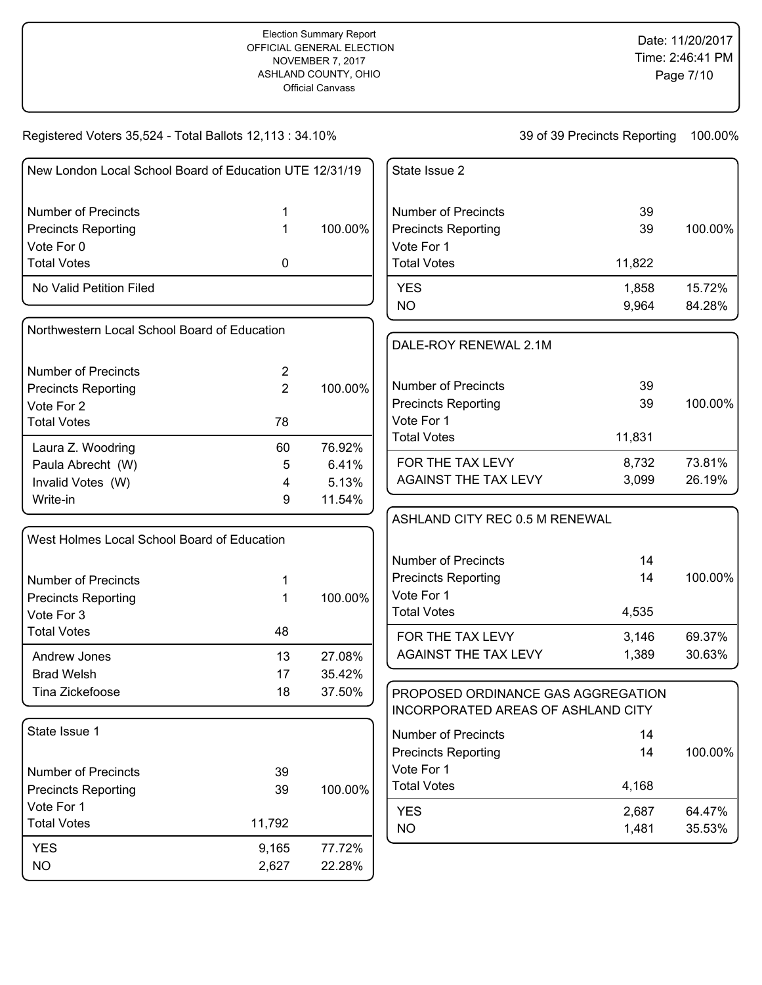Registered Voters 35,524 - Total Ballots 12,113 : 34.10%

| New London Local School Board of Education UTE 12/31/19 |                |         | State Issue 2                      |        |         |
|---------------------------------------------------------|----------------|---------|------------------------------------|--------|---------|
| <b>Number of Precincts</b>                              | 1              |         | <b>Number of Precincts</b>         | 39     |         |
| <b>Precincts Reporting</b>                              | $\mathbf 1$    | 100.00% | <b>Precincts Reporting</b>         | 39     | 100.00% |
| Vote For 0                                              |                |         | Vote For 1                         |        |         |
| <b>Total Votes</b>                                      | 0              |         | <b>Total Votes</b>                 | 11,822 |         |
| No Valid Petition Filed                                 |                |         | <b>YES</b>                         | 1,858  | 15.72%  |
|                                                         |                |         | <b>NO</b>                          | 9,964  | 84.28%  |
| Northwestern Local School Board of Education            |                |         | DALE-ROY RENEWAL 2.1M              |        |         |
| <b>Number of Precincts</b>                              | $\overline{2}$ |         |                                    |        |         |
| <b>Precincts Reporting</b>                              | $\overline{2}$ | 100.00% | <b>Number of Precincts</b>         | 39     |         |
| Vote For 2                                              |                |         | <b>Precincts Reporting</b>         | 39     | 100.00% |
| <b>Total Votes</b>                                      | 78             |         | Vote For 1                         |        |         |
| Laura Z. Woodring                                       | 60             | 76.92%  | <b>Total Votes</b>                 | 11,831 |         |
| Paula Abrecht (W)                                       | 5              | 6.41%   | FOR THE TAX LEVY                   | 8,732  | 73.81%  |
| Invalid Votes (W)                                       | 4              | 5.13%   | <b>AGAINST THE TAX LEVY</b>        | 3,099  | 26.19%  |
| Write-in                                                | 9              | 11.54%  |                                    |        |         |
|                                                         |                |         | ASHLAND CITY REC 0.5 M RENEWAL     |        |         |
| West Holmes Local School Board of Education             |                |         |                                    |        |         |
|                                                         |                |         | <b>Number of Precincts</b>         | 14     |         |
| <b>Number of Precincts</b>                              | 1              |         | <b>Precincts Reporting</b>         | 14     | 100.00% |
| <b>Precincts Reporting</b>                              | 1              | 100.00% | Vote For 1                         |        |         |
| Vote For 3                                              |                |         | <b>Total Votes</b>                 | 4,535  |         |
| <b>Total Votes</b>                                      | 48             |         | FOR THE TAX LEVY                   | 3,146  | 69.37%  |
| Andrew Jones                                            | 13             | 27.08%  | AGAINST THE TAX LEVY               | 1,389  | 30.63%  |
| <b>Brad Welsh</b>                                       | 17             | 35.42%  |                                    |        |         |
| Tina Zickefoose                                         | 18             | 37.50%  | PROPOSED ORDINANCE GAS AGGREGATION |        |         |
|                                                         |                |         | INCORPORATED AREAS OF ASHLAND CITY |        |         |
| State Issue 1                                           |                |         | <b>Number of Precincts</b>         | 14     |         |
|                                                         |                |         | <b>Precincts Reporting</b>         | 14     | 100.00% |
| <b>Number of Precincts</b>                              | 39             |         | Vote For 1                         |        |         |
| <b>Precincts Reporting</b>                              | 39             | 100.00% | <b>Total Votes</b>                 | 4,168  |         |
| Vote For 1                                              |                |         | <b>YES</b>                         | 2,687  | 64.47%  |
| <b>Total Votes</b>                                      | 11,792         |         | <b>NO</b>                          | 1,481  | 35.53%  |
| <b>YES</b>                                              | 9,165          | 77.72%  |                                    |        |         |
| <b>NO</b>                                               | 2,627          | 22.28%  |                                    |        |         |
|                                                         |                |         |                                    |        |         |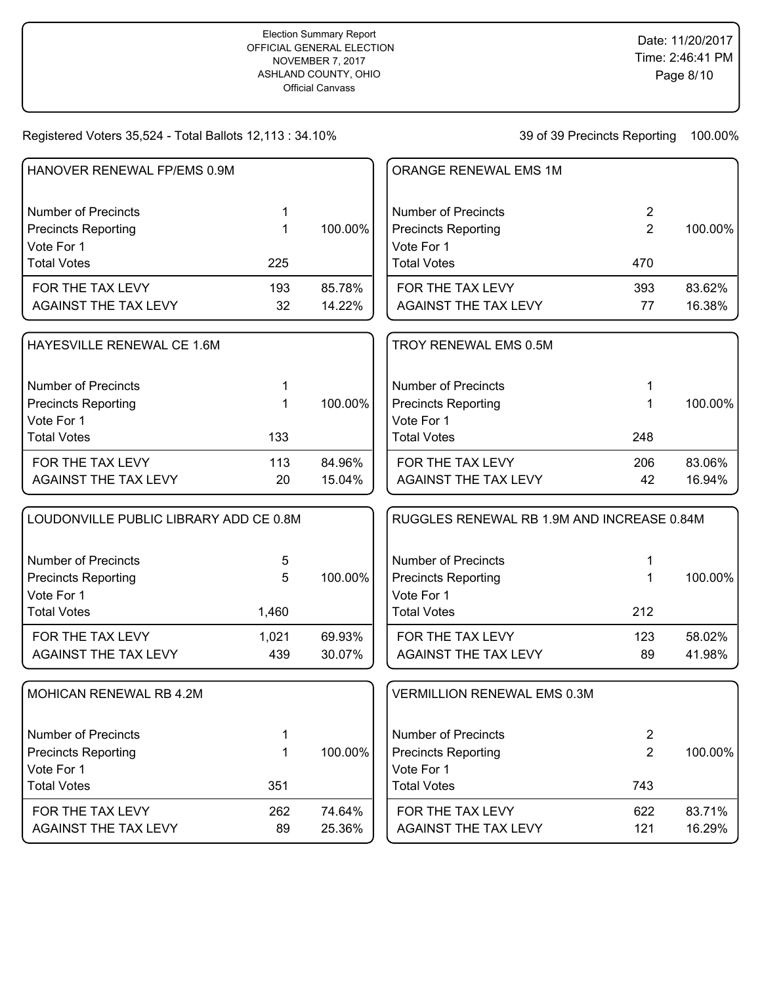# Registered Voters 35,524 - Total Ballots 12,113 : 34.10%

| HANOVER RENEWAL FP/EMS 0.9M            |       |         | ORANGE RENEWAL EMS 1M                      |                |         |
|----------------------------------------|-------|---------|--------------------------------------------|----------------|---------|
| <b>Number of Precincts</b>             | 1     |         | <b>Number of Precincts</b>                 | $\overline{2}$ |         |
| <b>Precincts Reporting</b>             | 1     | 100.00% | <b>Precincts Reporting</b>                 | $\overline{2}$ | 100.00% |
| Vote For 1                             |       |         | Vote For 1                                 |                |         |
| <b>Total Votes</b>                     | 225   |         | <b>Total Votes</b>                         | 470            |         |
| FOR THE TAX LEVY                       | 193   | 85.78%  | FOR THE TAX LEVY                           | 393            | 83.62%  |
| <b>AGAINST THE TAX LEVY</b>            | 32    | 14.22%  | <b>AGAINST THE TAX LEVY</b>                | 77             | 16.38%  |
| HAYESVILLE RENEWAL CE 1.6M             |       |         | TROY RENEWAL EMS 0.5M                      |                |         |
| <b>Number of Precincts</b>             | 1     |         | <b>Number of Precincts</b>                 | 1              |         |
| <b>Precincts Reporting</b>             | 1     | 100.00% | <b>Precincts Reporting</b>                 | 1              | 100.00% |
| Vote For 1                             |       |         | Vote For 1                                 |                |         |
| <b>Total Votes</b>                     | 133   |         | <b>Total Votes</b>                         | 248            |         |
| FOR THE TAX LEVY                       | 113   | 84.96%  | FOR THE TAX LEVY                           | 206            | 83.06%  |
| <b>AGAINST THE TAX LEVY</b>            | 20    | 15.04%  | <b>AGAINST THE TAX LEVY</b>                | 42             | 16.94%  |
| LOUDONVILLE PUBLIC LIBRARY ADD CE 0.8M |       |         | RUGGLES RENEWAL RB 1.9M AND INCREASE 0.84M |                |         |
| <b>Number of Precincts</b>             | 5     |         | <b>Number of Precincts</b>                 | 1              |         |
| <b>Precincts Reporting</b>             | 5     | 100.00% | <b>Precincts Reporting</b>                 | 1              | 100.00% |
| Vote For 1                             |       |         | Vote For 1                                 |                |         |
| <b>Total Votes</b>                     | 1,460 |         | <b>Total Votes</b>                         | 212            |         |
| FOR THE TAX LEVY                       | 1,021 | 69.93%  | FOR THE TAX LEVY                           | 123            | 58.02%  |
| <b>AGAINST THE TAX LEVY</b>            | 439   | 30.07%  | <b>AGAINST THE TAX LEVY</b>                | 89             | 41.98%  |
| <b>MOHICAN RENEWAL RB 4.2M</b>         |       |         | <b>VERMILLION RENEWAL EMS 0.3M</b>         |                |         |
| <b>Number of Precincts</b>             | 1     |         | <b>Number of Precincts</b>                 | $\overline{2}$ |         |
| <b>Precincts Reporting</b>             | 1     | 100.00% | <b>Precincts Reporting</b>                 | $\overline{2}$ | 100.00% |
| Vote For 1                             |       |         | Vote For 1                                 |                |         |
| <b>Total Votes</b>                     | 351   |         | <b>Total Votes</b>                         | 743            |         |
| FOR THE TAX LEVY                       | 262   | 74.64%  | FOR THE TAX LEVY                           | 622            | 83.71%  |
| <b>AGAINST THE TAX LEVY</b>            | 89    | 25.36%  | AGAINST THE TAX LEVY                       | 121            | 16.29%  |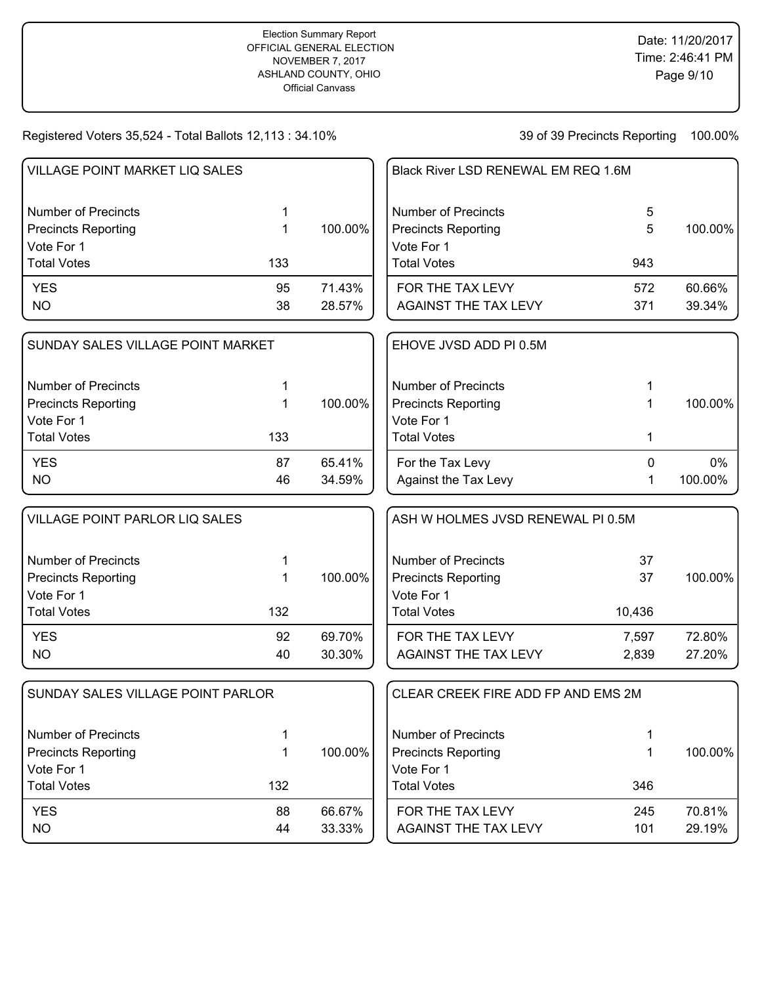Registered Voters 35,524 - Total Ballots 12,113 : 34.10%

| 1   |                                                                                                                                                                 | <b>Number of Precincts</b>  | 5                                                                                          |                                                                                                                     |
|-----|-----------------------------------------------------------------------------------------------------------------------------------------------------------------|-----------------------------|--------------------------------------------------------------------------------------------|---------------------------------------------------------------------------------------------------------------------|
| 1   | 100.00%                                                                                                                                                         | <b>Precincts Reporting</b>  | 5                                                                                          | 100.00%                                                                                                             |
| 133 |                                                                                                                                                                 | <b>Total Votes</b>          | 943                                                                                        |                                                                                                                     |
| 95  | 71.43%                                                                                                                                                          |                             | 572                                                                                        | 60.66%                                                                                                              |
| 38  | 28.57%                                                                                                                                                          | <b>AGAINST THE TAX LEVY</b> | 371                                                                                        | 39.34%                                                                                                              |
|     |                                                                                                                                                                 | EHOVE JVSD ADD PI 0.5M      |                                                                                            |                                                                                                                     |
| 1   |                                                                                                                                                                 | <b>Number of Precincts</b>  |                                                                                            |                                                                                                                     |
| 1   | 100.00%                                                                                                                                                         | <b>Precincts Reporting</b>  | 1                                                                                          | 100.00%                                                                                                             |
|     |                                                                                                                                                                 |                             |                                                                                            |                                                                                                                     |
|     |                                                                                                                                                                 |                             |                                                                                            |                                                                                                                     |
| 87  | 65.41%                                                                                                                                                          | For the Tax Levy            | $\mathbf{0}$                                                                               | 0%                                                                                                                  |
| 46  |                                                                                                                                                                 |                             | 1                                                                                          | 100.00%                                                                                                             |
|     |                                                                                                                                                                 |                             |                                                                                            |                                                                                                                     |
| 1   |                                                                                                                                                                 | <b>Number of Precincts</b>  | 37                                                                                         |                                                                                                                     |
| 1   | 100.00%                                                                                                                                                         | <b>Precincts Reporting</b>  | 37                                                                                         | 100.00%                                                                                                             |
|     |                                                                                                                                                                 | Vote For 1                  |                                                                                            |                                                                                                                     |
| 132 |                                                                                                                                                                 | <b>Total Votes</b>          | 10,436                                                                                     |                                                                                                                     |
| 92  | 69.70%                                                                                                                                                          | FOR THE TAX LEVY            | 7,597                                                                                      | 72.80%                                                                                                              |
| 40  | 30.30%                                                                                                                                                          | <b>AGAINST THE TAX LEVY</b> | 2,839                                                                                      | 27.20%                                                                                                              |
|     |                                                                                                                                                                 |                             |                                                                                            |                                                                                                                     |
| 1   |                                                                                                                                                                 | <b>Number of Precincts</b>  | 1                                                                                          |                                                                                                                     |
| 1   | 100.00%                                                                                                                                                         | <b>Precincts Reporting</b>  | 1                                                                                          | 100.00%                                                                                                             |
|     |                                                                                                                                                                 | Vote For 1                  |                                                                                            |                                                                                                                     |
| 132 |                                                                                                                                                                 | <b>Total Votes</b>          | 346                                                                                        |                                                                                                                     |
| 88  | 66.67%                                                                                                                                                          | FOR THE TAX LEVY            | 245                                                                                        | 70.81%                                                                                                              |
| 44  | 33.33%                                                                                                                                                          | AGAINST THE TAX LEVY        | 101                                                                                        | 29.19%                                                                                                              |
|     | <b>VILLAGE POINT MARKET LIQ SALES</b><br>SUNDAY SALES VILLAGE POINT MARKET<br>133<br><b>VILLAGE POINT PARLOR LIQ SALES</b><br>SUNDAY SALES VILLAGE POINT PARLOR | 34.59%                      | Vote For 1<br>FOR THE TAX LEVY<br>Vote For 1<br><b>Total Votes</b><br>Against the Tax Levy | Black River LSD RENEWAL EM REQ 1.6M<br>1<br>ASH W HOLMES JVSD RENEWAL PI 0.5M<br>CLEAR CREEK FIRE ADD FP AND EMS 2M |